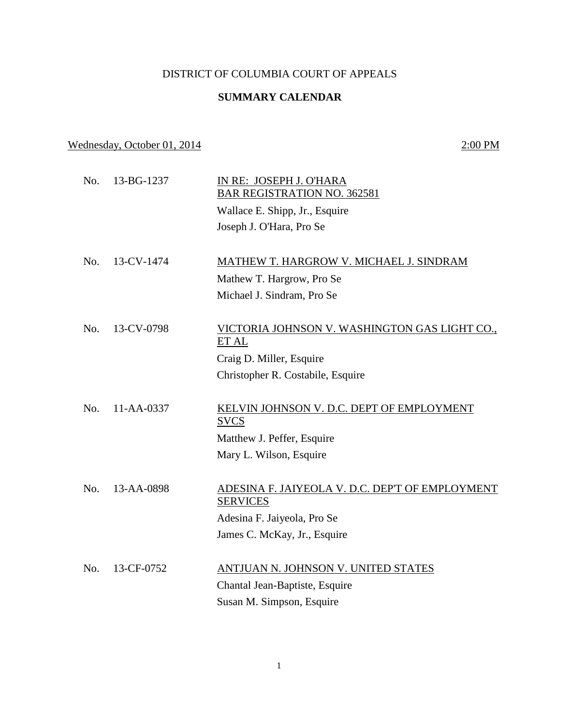# DISTRICT OF COLUMBIA COURT OF APPEALS

# **SUMMARY CALENDAR**

# Wednesday, October 01, 2014 2:00 PM

No. 13-BG-1237 IN RE: JOSEPH J. O'HARA BAR REGISTRATION NO. 362581 Wallace E. Shipp, Jr., Esquire Joseph J. O'Hara, Pro Se No. 13-CV-1474 MATHEW T. HARGROW V. MICHAEL J. SINDRAM Mathew T. Hargrow, Pro Se Michael J. Sindram, Pro Se No. 13-CV-0798 VICTORIA JOHNSON V. WASHINGTON GAS LIGHT CO., ET AL Craig D. Miller, Esquire Christopher R. Costabile, Esquire No. 11-AA-0337 KELVIN JOHNSON V. D.C. DEPT OF EMPLOYMENT SVCS Matthew J. Peffer, Esquire Mary L. Wilson, Esquire No. 13-AA-0898 ADESINA F. JAIYEOLA V. D.C. DEP'T OF EMPLOYMENT SERVICES Adesina F. Jaiyeola, Pro Se James C. McKay, Jr., Esquire No. 13-CF-0752 ANTJUAN N. JOHNSON V. UNITED STATES Chantal Jean-Baptiste, Esquire Susan M. Simpson, Esquire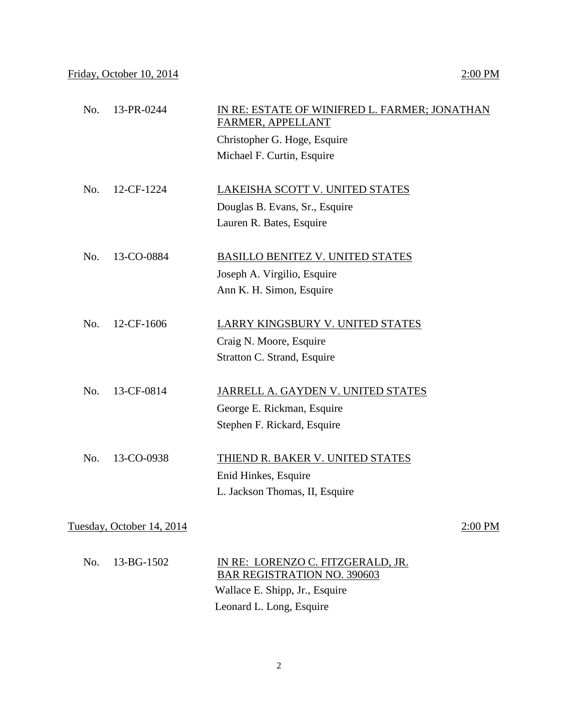| No. | 13-PR-0244                | IN RE: ESTATE OF WINIFRED L. FARMER; JONATHAN<br>FARMER, APPELLANT |         |
|-----|---------------------------|--------------------------------------------------------------------|---------|
|     |                           | Christopher G. Hoge, Esquire                                       |         |
|     |                           | Michael F. Curtin, Esquire                                         |         |
|     |                           |                                                                    |         |
| No. | 12-CF-1224                | LAKEISHA SCOTT V. UNITED STATES                                    |         |
|     |                           | Douglas B. Evans, Sr., Esquire                                     |         |
|     |                           | Lauren R. Bates, Esquire                                           |         |
| No. | 13-CO-0884                | <b>BASILLO BENITEZ V. UNITED STATES</b>                            |         |
|     |                           | Joseph A. Virgilio, Esquire                                        |         |
|     |                           | Ann K. H. Simon, Esquire                                           |         |
|     |                           |                                                                    |         |
| No. | 12-CF-1606                | LARRY KINGSBURY V. UNITED STATES                                   |         |
|     |                           | Craig N. Moore, Esquire                                            |         |
|     |                           | Stratton C. Strand, Esquire                                        |         |
| No. | 13-CF-0814                | JARRELL A. GAYDEN V. UNITED STATES                                 |         |
|     |                           | George E. Rickman, Esquire                                         |         |
|     |                           | Stephen F. Rickard, Esquire                                        |         |
|     |                           |                                                                    |         |
| No. | 13-CO-0938                | THIEND R. BAKER V. UNITED STATES                                   |         |
|     |                           | Enid Hinkes, Esquire                                               |         |
|     |                           | L. Jackson Thomas, II, Esquire                                     |         |
|     | Tuesday, October 14, 2014 |                                                                    | 2:00 PM |
|     |                           |                                                                    |         |
| No. | 13-BG-1502                | IN RE: LORENZO C. FITZGERALD, JR.                                  |         |

BAR REGISTRATION NO. 390603 Wallace E. Shipp, Jr., Esquire Leonard L. Long, Esquire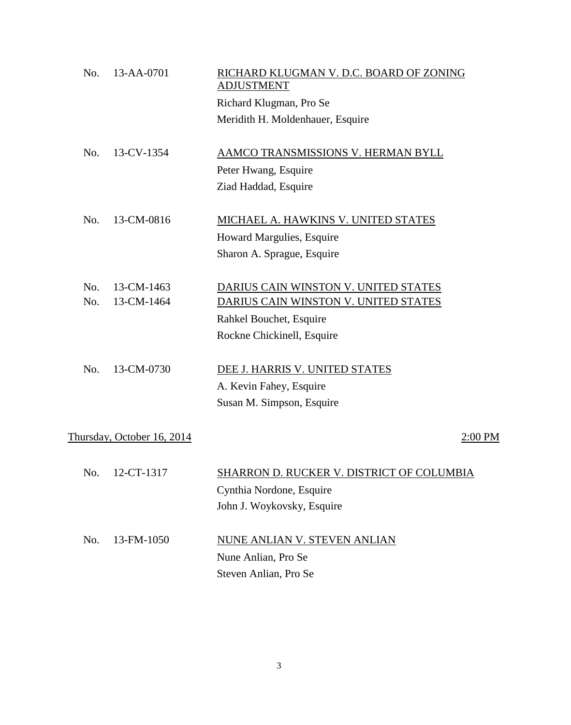| No. | 13-AA-0701                 | RICHARD KLUGMAN V. D.C. BOARD OF ZONING<br><b>ADJUSTMENT</b> |           |
|-----|----------------------------|--------------------------------------------------------------|-----------|
|     |                            | Richard Klugman, Pro Se                                      |           |
|     |                            | Meridith H. Moldenhauer, Esquire                             |           |
| No. | 13-CV-1354                 | AAMCO TRANSMISSIONS V. HERMAN BYLL                           |           |
|     |                            | Peter Hwang, Esquire                                         |           |
|     |                            | Ziad Haddad, Esquire                                         |           |
|     |                            |                                                              |           |
| No. | 13-CM-0816                 | <b>MICHAEL A. HAWKINS V. UNITED STATES</b>                   |           |
|     |                            | Howard Margulies, Esquire                                    |           |
|     |                            | Sharon A. Sprague, Esquire                                   |           |
|     |                            |                                                              |           |
| No. | 13-CM-1463                 | DARIUS CAIN WINSTON V. UNITED STATES                         |           |
| No. | 13-CM-1464                 | DARIUS CAIN WINSTON V. UNITED STATES                         |           |
|     |                            | Rahkel Bouchet, Esquire                                      |           |
|     |                            | Rockne Chickinell, Esquire                                   |           |
| No. | 13-CM-0730                 | DEE J. HARRIS V. UNITED STATES                               |           |
|     |                            | A. Kevin Fahey, Esquire                                      |           |
|     |                            | Susan M. Simpson, Esquire                                    |           |
|     |                            |                                                              |           |
|     | Thursday, October 16, 2014 |                                                              | $2:00$ PM |
| No. | 12-CT-1317                 | <u>SHARRON D. RUCKER V. DISTRICT OF COLUMBIA</u>             |           |
|     |                            | Cynthia Nordone, Esquire                                     |           |
|     |                            | John J. Woykovsky, Esquire                                   |           |
|     |                            |                                                              |           |
| No. | 13-FM-1050                 | NUNE ANLIAN V. STEVEN ANLIAN                                 |           |
|     |                            | Nune Anlian, Pro Se                                          |           |
|     |                            | Steven Anlian, Pro Se                                        |           |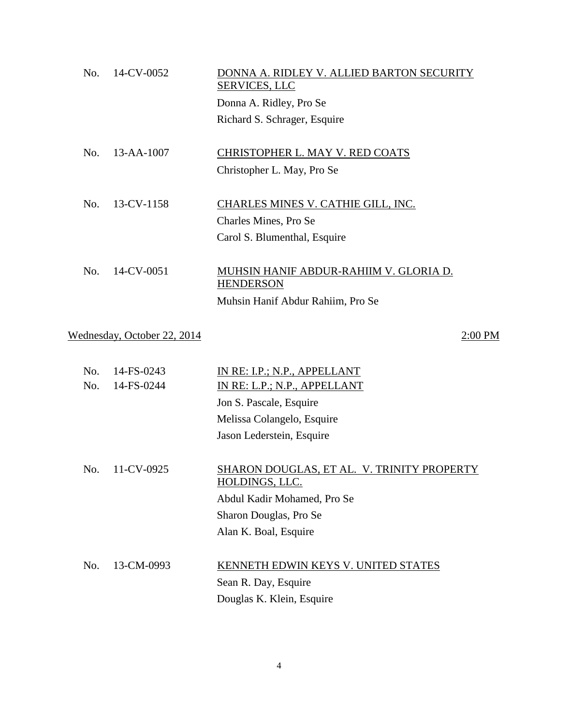| No. | 14-CV-0052                  | DONNA A. RIDLEY V. ALLIED BARTON SECURITY<br><b>SERVICES, LLC</b> |
|-----|-----------------------------|-------------------------------------------------------------------|
|     |                             | Donna A. Ridley, Pro Se                                           |
|     |                             | Richard S. Schrager, Esquire                                      |
| No. | 13-AA-1007                  | CHRISTOPHER L. MAY V. RED COATS                                   |
|     |                             | Christopher L. May, Pro Se                                        |
| No. | 13-CV-1158                  | CHARLES MINES V. CATHIE GILL, INC.                                |
|     |                             | Charles Mines, Pro Se                                             |
|     |                             | Carol S. Blumenthal, Esquire                                      |
| No. | 14-CV-0051                  | MUHSIN HANIF ABDUR-RAHIIM V. GLORIA D.<br><b>HENDERSON</b>        |
|     |                             | Muhsin Hanif Abdur Rahiim, Pro Se                                 |
|     | Wednesday, October 22, 2014 | 2:00 PM                                                           |
| No. | 14-FS-0243                  | IN RE: I.P.; N.P., APPELLANT                                      |
| No. | 14-FS-0244                  | IN RE: L.P.; N.P., APPELLANT                                      |
|     |                             | Jon S. Pascale, Esquire                                           |
|     |                             | Melissa Colangelo, Esquire                                        |
|     |                             | Jason Lederstein, Esquire                                         |
| No. | 11-CV-0925                  | SHARON DOUGLAS, ET AL. V. TRINITY PROPERTY<br>HOLDINGS, LLC.      |
|     |                             | Abdul Kadir Mohamed, Pro Se                                       |
|     |                             | Sharon Douglas, Pro Se                                            |
|     |                             | Alan K. Boal, Esquire                                             |
| No. | 13-CM-0993                  | KENNETH EDWIN KEYS V. UNITED STATES                               |
|     |                             | Sean R. Day, Esquire                                              |
|     |                             | Douglas K. Klein, Esquire                                         |
|     |                             |                                                                   |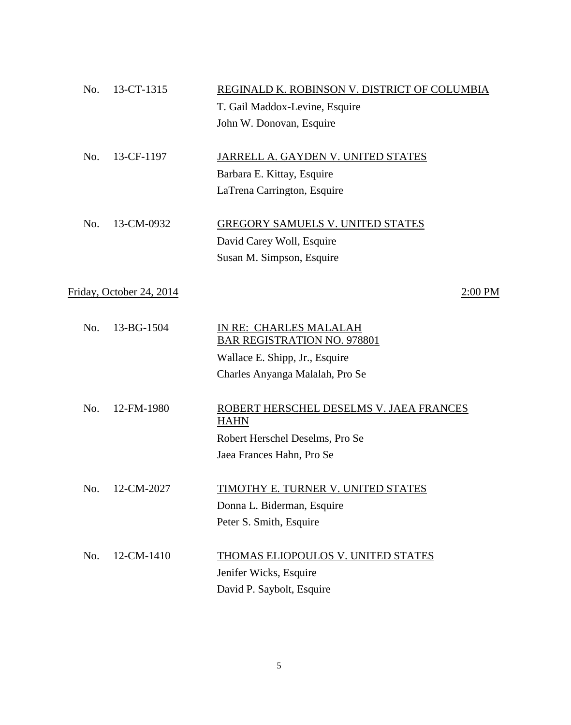| No.                      | 13-CT-1315 | REGINALD K. ROBINSON V. DISTRICT OF COLUMBIA                 |
|--------------------------|------------|--------------------------------------------------------------|
|                          |            | T. Gail Maddox-Levine, Esquire                               |
|                          |            | John W. Donovan, Esquire                                     |
| No.                      | 13-CF-1197 | JARRELL A. GAYDEN V. UNITED STATES                           |
|                          |            | Barbara E. Kittay, Esquire                                   |
|                          |            | LaTrena Carrington, Esquire                                  |
| No.                      | 13-CM-0932 | <b>GREGORY SAMUELS V. UNITED STATES</b>                      |
|                          |            | David Carey Woll, Esquire                                    |
|                          |            | Susan M. Simpson, Esquire                                    |
| Friday, October 24, 2014 |            | $2:00$ PM                                                    |
| No.                      | 13-BG-1504 | IN RE: CHARLES MALALAH<br><b>BAR REGISTRATION NO. 978801</b> |
|                          |            | Wallace E. Shipp, Jr., Esquire                               |
|                          |            | Charles Anyanga Malalah, Pro Se                              |
| No.                      | 12-FM-1980 | ROBERT HERSCHEL DESELMS V. JAEA FRANCES<br><b>HAHN</b>       |
|                          |            | Robert Herschel Deselms, Pro Se                              |
|                          |            | Jaea Frances Hahn, Pro Se                                    |
| No.                      | 12-CM-2027 | TIMOTHY E. TURNER V. UNITED STATES                           |
|                          |            | Donna L. Biderman, Esquire                                   |
|                          |            | Peter S. Smith, Esquire                                      |
| No.                      | 12-CM-1410 | THOMAS ELIOPOULOS V. UNITED STATES                           |
|                          |            | Jenifer Wicks, Esquire                                       |
|                          |            | David P. Saybolt, Esquire                                    |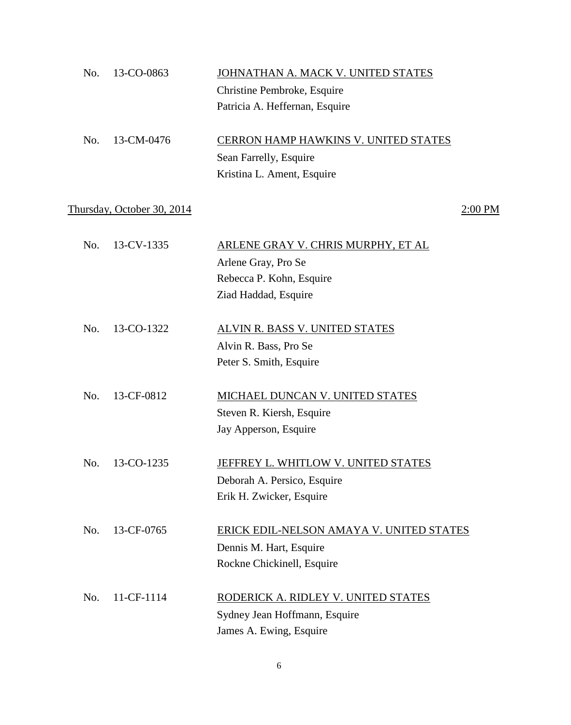| No. | 13-CO-0863                 | JOHNATHAN A. MACK V. UNITED STATES        |
|-----|----------------------------|-------------------------------------------|
|     |                            | Christine Pembroke, Esquire               |
|     |                            | Patricia A. Heffernan, Esquire            |
|     |                            |                                           |
| No. | 13-CM-0476                 | CERRON HAMP HAWKINS V. UNITED STATES      |
|     |                            | Sean Farrelly, Esquire                    |
|     |                            | Kristina L. Ament, Esquire                |
|     | Thursday, October 30, 2014 | 2:00 PM                                   |
|     |                            |                                           |
| No. | 13-CV-1335                 | <b>ARLENE GRAY V. CHRIS MURPHY, ET AL</b> |
|     |                            | Arlene Gray, Pro Se                       |
|     |                            | Rebecca P. Kohn, Esquire                  |
|     |                            | Ziad Haddad, Esquire                      |
| No. | 13-CO-1322                 | ALVIN R. BASS V. UNITED STATES            |
|     |                            | Alvin R. Bass, Pro Se                     |
|     |                            | Peter S. Smith, Esquire                   |
|     |                            |                                           |
| No. | 13-CF-0812                 | MICHAEL DUNCAN V. UNITED STATES           |
|     |                            | Steven R. Kiersh, Esquire                 |
|     |                            | Jay Apperson, Esquire                     |
| No. | 13-CO-1235                 | JEFFREY L. WHITLOW V. UNITED STATES       |
|     |                            | Deborah A. Persico, Esquire               |
|     |                            | Erik H. Zwicker, Esquire                  |
|     |                            |                                           |
| No. | 13-CF-0765                 | ERICK EDIL-NELSON AMAYA V. UNITED STATES  |
|     |                            | Dennis M. Hart, Esquire                   |
|     |                            | Rockne Chickinell, Esquire                |
| No. | 11-CF-1114                 | RODERICK A. RIDLEY V. UNITED STATES       |
|     |                            | Sydney Jean Hoffmann, Esquire             |
|     |                            | James A. Ewing, Esquire                   |
|     |                            |                                           |
|     |                            | 6                                         |